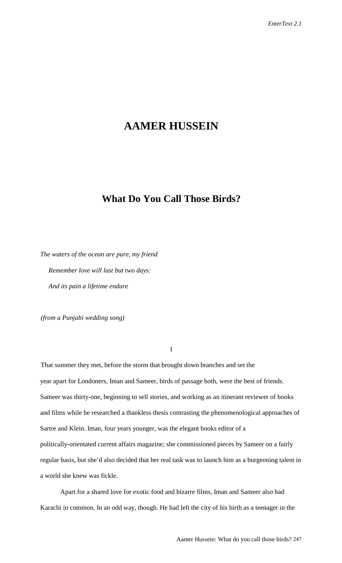## **AAMER HUSSEIN**

## **What Do You Call Those Birds?**

*The waters of the ocean are pure, my friend* 

 *Remember love will last but two days: And its pain a lifetime endure* 

*(from a Punjabi wedding song)* 

1

That summer they met, before the storm that brought down branches and set the year apart for Londoners, Iman and Sameer, birds of passage both, were the best of friends. Sameer was thirty-one, beginning to sell stories, and working as an itinerant reviewer of books and films while he researched a thankless thesis contrasting the phenomenological approaches of Sartre and Klein. Iman, four years younger, was the elegant books editor of a politically-orientated current affairs magazine; she commissioned pieces by Sameer on a fairly regular basis, but she'd also decided that her real task was to launch him as a burgeoning talent in a world she knew was fickle.

Apart for a shared love for exotic food and bizarre films, Iman and Sameer also had Karachi in common. In an odd way, though. He had left the city of his birth as a teenager in the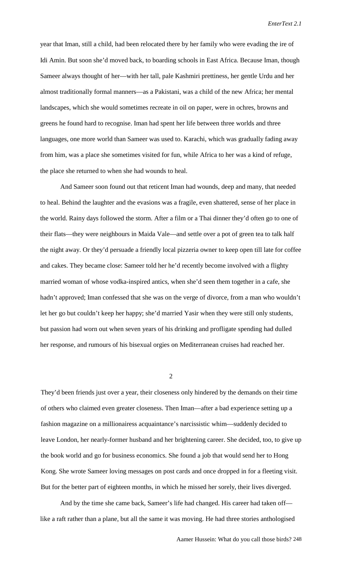year that Iman, still a child, had been relocated there by her family who were evading the ire of Idi Amin. But soon she'd moved back, to boarding schools in East Africa. Because Iman, though Sameer always thought of her—with her tall, pale Kashmiri prettiness, her gentle Urdu and her almost traditionally formal manners—as a Pakistani, was a child of the new Africa; her mental landscapes, which she would sometimes recreate in oil on paper, were in ochres, browns and greens he found hard to recognise. Iman had spent her life between three worlds and three languages, one more world than Sameer was used to. Karachi, which was gradually fading away from him, was a place she sometimes visited for fun, while Africa to her was a kind of refuge, the place she returned to when she had wounds to heal.

And Sameer soon found out that reticent Iman had wounds, deep and many, that needed to heal. Behind the laughter and the evasions was a fragile, even shattered, sense of her place in the world. Rainy days followed the storm. After a film or a Thai dinner they'd often go to one of their flats—they were neighbours in Maida Vale—and settle over a pot of green tea to talk half the night away. Or they'd persuade a friendly local pizzeria owner to keep open till late for coffee and cakes. They became close: Sameer told her he'd recently become involved with a flighty married woman of whose vodka-inspired antics, when she'd seen them together in a cafe, she hadn't approved; Iman confessed that she was on the verge of divorce, from a man who wouldn't let her go but couldn't keep her happy; she'd married Yasir when they were still only students, but passion had worn out when seven years of his drinking and profligate spending had dulled her response, and rumours of his bisexual orgies on Mediterranean cruises had reached her.

2

They'd been friends just over a year, their closeness only hindered by the demands on their time of others who claimed even greater closeness. Then Iman—after a bad experience setting up a fashion magazine on a millionairess acquaintance's narcissistic whim—suddenly decided to leave London, her nearly-former husband and her brightening career. She decided, too, to give up the book world and go for business economics. She found a job that would send her to Hong Kong. She wrote Sameer loving messages on post cards and once dropped in for a fleeting visit. But for the better part of eighteen months, in which he missed her sorely, their lives diverged.

And by the time she came back, Sameer's life had changed. His career had taken off like a raft rather than a plane, but all the same it was moving. He had three stories anthologised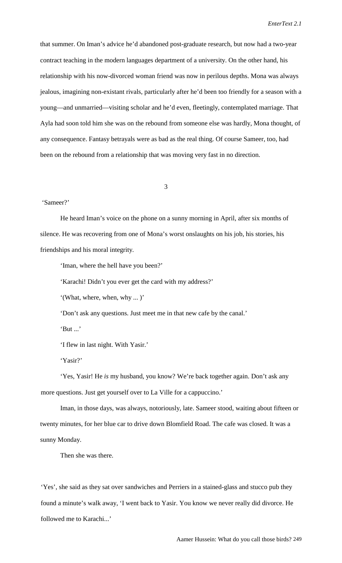that summer. On Iman's advice he'd abandoned post-graduate research, but now had a two-year contract teaching in the modern languages department of a university. On the other hand, his relationship with his now-divorced woman friend was now in perilous depths. Mona was always jealous, imagining non-existant rivals, particularly after he'd been too friendly for a season with a young—and unmarried—visiting scholar and he'd even, fleetingly, contemplated marriage. That Ayla had soon told him she was on the rebound from someone else was hardly, Mona thought, of any consequence. Fantasy betrayals were as bad as the real thing. Of course Sameer, too, had been on the rebound from a relationship that was moving very fast in no direction.

3

## 'Sameer?'

He heard Iman's voice on the phone on a sunny morning in April, after six months of silence. He was recovering from one of Mona's worst onslaughts on his job, his stories, his friendships and his moral integrity.

'Iman, where the hell have you been?'

'Karachi! Didn't you ever get the card with my address?'

'(What, where, when, why ... )'

'Don't ask any questions. Just meet me in that new cafe by the canal.'

'But ...'

'I flew in last night. With Yasir.'

'Yasir?'

'Yes, Yasir! He *is* my husband, you know? We're back together again. Don't ask any more questions. Just get yourself over to La Ville for a cappuccino.'

Iman, in those days, was always, notoriously, late. Sameer stood, waiting about fifteen or twenty minutes, for her blue car to drive down Blomfield Road. The cafe was closed. It was a sunny Monday.

Then she was there.

'Yes', she said as they sat over sandwiches and Perriers in a stained-glass and stucco pub they found a minute's walk away, 'I went back to Yasir. You know we never really did divorce. He followed me to Karachi...'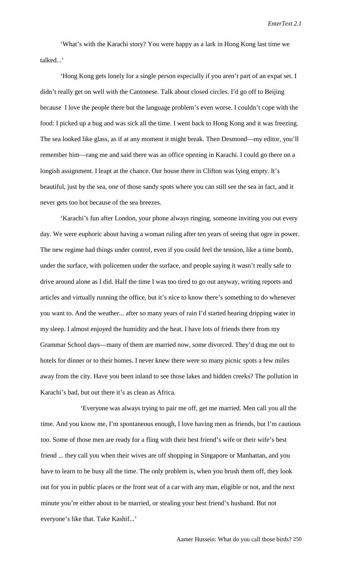'What's with the Karachi story? You were happy as a lark in Hong Kong last time we talked...'

'Hong Kong gets lonely for a single person especially if you aren't part of an expat set. I didn't really get on well with the Cantonese. Talk about closed circles. I'd go off to Beijing because I love the people there but the language problem's even worse. I couldn't cope with the food: I picked up a bug and was sick all the time. I went back to Hong Kong and it was freezing. The sea looked like glass, as if at any moment it might break. Then Desmond—my editor, you'll remember him—rang me and said there was an office opening in Karachi. I could go there on a longish assignment. I leapt at the chance. Our house there in Clifton was lying empty. It's beautiful, just by the sea, one of those sandy spots where you can still see the sea in fact, and it never gets too hot because of the sea breezes.

'Karachi's fun after London, your phone always ringing, someone inviting you out every day. We were euphoric about having a woman ruling after ten years of seeing that ogre in power. The new regime had things under control, even if you could feel the tension, like a time bomb, under the surface, with policemen under the surface, and people saying it wasn't really safe to drive around alone as I did. Half the time I was too tired to go out anyway, writing reports and articles and virtually running the office, but it's nice to know there's something to do whenever you want to. And the weather... after so many years of rain I'd started hearing dripping water in my sleep. I almost enjoyed the humidity and the heat. I have lots of friends there from my Grammar School days—many of them are married now, some divorced. They'd drag me out to hotels for dinner or to their homes. I never knew there were so many picnic spots a few miles away from the city. Have you been inland to see those lakes and hidden creeks? The pollution in Karachi's bad, but out there it's as clean as Africa.

 'Everyone was always trying to pair me off, get me married. Men call you all the time. And you know me, I'm spontaneous enough, I love having men as friends, but I'm cautious too. Some of those men are ready for a fling with their best friend's wife or their wife's best friend ... they call you when their wives are off shopping in Singapore or Manhattan, and you have to learn to be busy all the time. The only problem is, when you brush them off, they look out for you in public places or the front seat of a car with any man, eligible or not, and the next minute you're either about to be married, or stealing your best friend's husband. But not everyone's like that. Take Kashif...'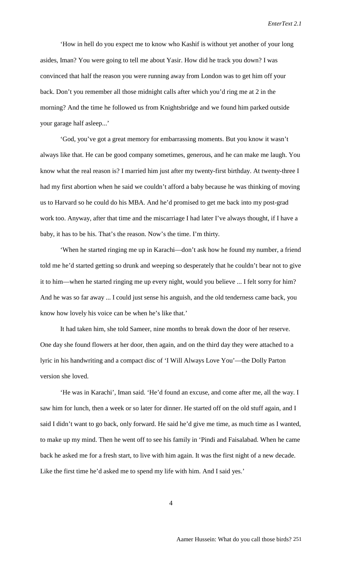'How in hell do you expect me to know who Kashif is without yet another of your long asides, Iman? You were going to tell me about Yasir. How did he track you down? I was convinced that half the reason you were running away from London was to get him off your back. Don't you remember all those midnight calls after which you'd ring me at 2 in the morning? And the time he followed us from Knightsbridge and we found him parked outside your garage half asleep...'

'God, you've got a great memory for embarrassing moments. But you know it wasn't always like that. He can be good company sometimes, generous, and he can make me laugh. You know what the real reason is? I married him just after my twenty-first birthday. At twenty-three I had my first abortion when he said we couldn't afford a baby because he was thinking of moving us to Harvard so he could do his MBA. And he'd promised to get me back into my post-grad work too. Anyway, after that time and the miscarriage I had later I've always thought, if I have a baby, it has to be his. That's the reason. Now's the time. I'm thirty.

'When he started ringing me up in Karachi—don't ask how he found my number, a friend told me he'd started getting so drunk and weeping so desperately that he couldn't bear not to give it to him—when he started ringing me up every night, would you believe ... I felt sorry for him? And he was so far away ... I could just sense his anguish, and the old tenderness came back, you know how lovely his voice can be when he's like that.'

It had taken him, she told Sameer, nine months to break down the door of her reserve. One day she found flowers at her door, then again, and on the third day they were attached to a lyric in his handwriting and a compact disc of 'I Will Always Love You'—the Dolly Parton version she loved.

'He was in Karachi', Iman said. 'He'd found an excuse, and come after me, all the way. I saw him for lunch, then a week or so later for dinner. He started off on the old stuff again, and I said I didn't want to go back, only forward. He said he'd give me time, as much time as I wanted, to make up my mind. Then he went off to see his family in 'Pindi and Faisalabad. When he came back he asked me for a fresh start, to live with him again. It was the first night of a new decade. Like the first time he'd asked me to spend my life with him. And I said yes.'

4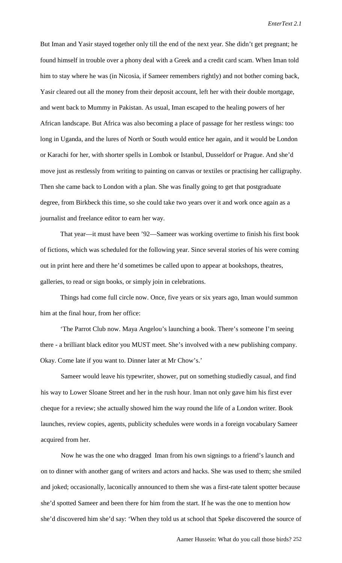But Iman and Yasir stayed together only till the end of the next year. She didn't get pregnant; he found himself in trouble over a phony deal with a Greek and a credit card scam. When Iman told him to stay where he was (in Nicosia, if Sameer remembers rightly) and not bother coming back, Yasir cleared out all the money from their deposit account, left her with their double mortgage, and went back to Mummy in Pakistan. As usual, Iman escaped to the healing powers of her African landscape. But Africa was also becoming a place of passage for her restless wings: too long in Uganda, and the lures of North or South would entice her again, and it would be London or Karachi for her, with shorter spells in Lombok or Istanbul, Dusseldorf or Prague. And she'd move just as restlessly from writing to painting on canvas or textiles or practising her calligraphy. Then she came back to London with a plan. She was finally going to get that postgraduate degree, from Birkbeck this time, so she could take two years over it and work once again as a journalist and freelance editor to earn her way.

That year—it must have been '92—Sameer was working overtime to finish his first book of fictions, which was scheduled for the following year. Since several stories of his were coming out in print here and there he'd sometimes be called upon to appear at bookshops, theatres, galleries, to read or sign books, or simply join in celebrations.

Things had come full circle now. Once, five years or six years ago, Iman would summon him at the final hour, from her office:

'The Parrot Club now. Maya Angelou's launching a book. There's someone I'm seeing there - a brilliant black editor you MUST meet. She's involved with a new publishing company. Okay. Come late if you want to. Dinner later at Mr Chow's.'

Sameer would leave his typewriter, shower, put on something studiedly casual, and find his way to Lower Sloane Street and her in the rush hour. Iman not only gave him his first ever cheque for a review; she actually showed him the way round the life of a London writer. Book launches, review copies, agents, publicity schedules were words in a foreign vocabulary Sameer acquired from her.

Now he was the one who dragged Iman from his own signings to a friend's launch and on to dinner with another gang of writers and actors and hacks. She was used to them; she smiled and joked; occasionally, laconically announced to them she was a first-rate talent spotter because she'd spotted Sameer and been there for him from the start. If he was the one to mention how she'd discovered him she'd say: 'When they told us at school that Speke discovered the source of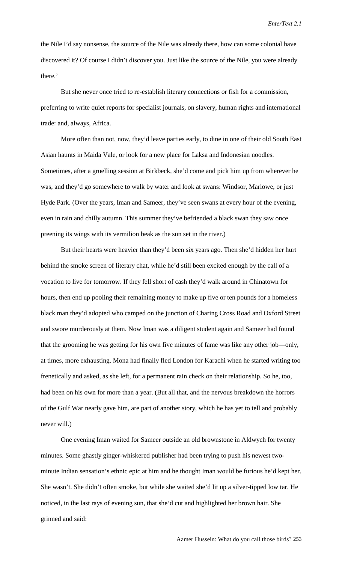the Nile I'd say nonsense, the source of the Nile was already there, how can some colonial have discovered it? Of course I didn't discover you. Just like the source of the Nile, you were already there.'

But she never once tried to re-establish literary connections or fish for a commission, preferring to write quiet reports for specialist journals, on slavery, human rights and international trade: and, always, Africa.

More often than not, now, they'd leave parties early, to dine in one of their old South East Asian haunts in Maida Vale, or look for a new place for Laksa and Indonesian noodles. Sometimes, after a gruelling session at Birkbeck, she'd come and pick him up from wherever he was, and they'd go somewhere to walk by water and look at swans: Windsor, Marlowe, or just Hyde Park. (Over the years, Iman and Sameer, they've seen swans at every hour of the evening, even in rain and chilly autumn. This summer they've befriended a black swan they saw once preening its wings with its vermilion beak as the sun set in the river.)

But their hearts were heavier than they'd been six years ago. Then she'd hidden her hurt behind the smoke screen of literary chat, while he'd still been excited enough by the call of a vocation to live for tomorrow. If they fell short of cash they'd walk around in Chinatown for hours, then end up pooling their remaining money to make up five or ten pounds for a homeless black man they'd adopted who camped on the junction of Charing Cross Road and Oxford Street and swore murderously at them. Now Iman was a diligent student again and Sameer had found that the grooming he was getting for his own five minutes of fame was like any other job—only, at times, more exhausting. Mona had finally fled London for Karachi when he started writing too frenetically and asked, as she left, for a permanent rain check on their relationship. So he, too, had been on his own for more than a year. (But all that, and the nervous breakdown the horrors of the Gulf War nearly gave him, are part of another story, which he has yet to tell and probably never will.)

One evening Iman waited for Sameer outside an old brownstone in Aldwych for twenty minutes. Some ghastly ginger-whiskered publisher had been trying to push his newest twominute Indian sensation's ethnic epic at him and he thought Iman would be furious he'd kept her. She wasn't. She didn't often smoke, but while she waited she'd lit up a silver-tipped low tar. He noticed, in the last rays of evening sun, that she'd cut and highlighted her brown hair. She grinned and said: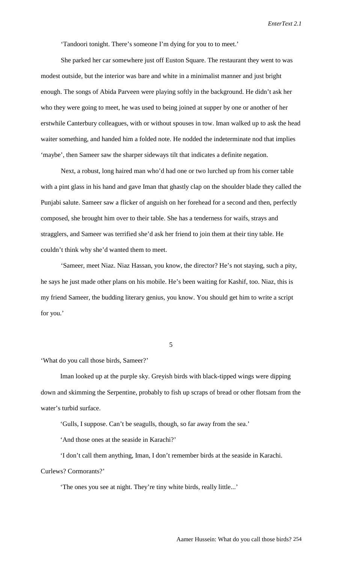'Tandoori tonight. There's someone I'm dying for you to to meet.'

She parked her car somewhere just off Euston Square. The restaurant they went to was modest outside, but the interior was bare and white in a minimalist manner and just bright enough. The songs of Abida Parveen were playing softly in the background. He didn't ask her who they were going to meet, he was used to being joined at supper by one or another of her erstwhile Canterbury colleagues, with or without spouses in tow. Iman walked up to ask the head waiter something, and handed him a folded note. He nodded the indeterminate nod that implies 'maybe', then Sameer saw the sharper sideways tilt that indicates a definite negation.

Next, a robust, long haired man who'd had one or two lurched up from his corner table with a pint glass in his hand and gave Iman that ghastly clap on the shoulder blade they called the Punjabi salute. Sameer saw a flicker of anguish on her forehead for a second and then, perfectly composed, she brought him over to their table. She has a tenderness for waifs, strays and stragglers, and Sameer was terrified she'd ask her friend to join them at their tiny table. He couldn't think why she'd wanted them to meet.

'Sameer, meet Niaz. Niaz Hassan, you know, the director? He's not staying, such a pity, he says he just made other plans on his mobile. He's been waiting for Kashif, too. Niaz, this is my friend Sameer, the budding literary genius, you know. You should get him to write a script for you.'

5

'What do you call those birds, Sameer?'

Iman looked up at the purple sky. Greyish birds with black-tipped wings were dipping down and skimming the Serpentine, probably to fish up scraps of bread or other flotsam from the water's turbid surface.

'Gulls, I suppose. Can't be seagulls, though, so far away from the sea.'

'And those ones at the seaside in Karachi?'

'I don't call them anything, Iman, I don't remember birds at the seaside in Karachi. Curlews? Cormorants?'

'The ones you see at night. They're tiny white birds, really little...'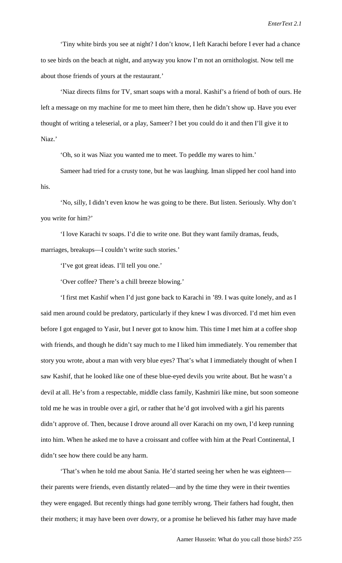'Tiny white birds you see at night? I don't know, I left Karachi before I ever had a chance to see birds on the beach at night, and anyway you know I'm not an ornithologist. Now tell me about those friends of yours at the restaurant.'

'Niaz directs films for TV, smart soaps with a moral. Kashif's a friend of both of ours. He left a message on my machine for me to meet him there, then he didn't show up. Have you ever thought of writing a teleserial, or a play, Sameer? I bet you could do it and then I'll give it to Niaz.'

'Oh, so it was Niaz you wanted me to meet. To peddle my wares to him.'

Sameer had tried for a crusty tone, but he was laughing. Iman slipped her cool hand into his.

'No, silly, I didn't even know he was going to be there. But listen. Seriously. Why don't you write for him?'

'I love Karachi tv soaps. I'd die to write one. But they want family dramas, feuds, marriages, breakups—I couldn't write such stories.'

'I've got great ideas. I'll tell you one.'

'Over coffee? There's a chill breeze blowing.'

'I first met Kashif when I'd just gone back to Karachi in '89. I was quite lonely, and as I said men around could be predatory, particularly if they knew I was divorced. I'd met him even before I got engaged to Yasir, but I never got to know him. This time I met him at a coffee shop with friends, and though he didn't say much to me I liked him immediately. You remember that story you wrote, about a man with very blue eyes? That's what I immediately thought of when I saw Kashif, that he looked like one of these blue-eyed devils you write about. But he wasn't a devil at all. He's from a respectable, middle class family, Kashmiri like mine, but soon someone told me he was in trouble over a girl, or rather that he'd got involved with a girl his parents didn't approve of. Then, because I drove around all over Karachi on my own, I'd keep running into him. When he asked me to have a croissant and coffee with him at the Pearl Continental, I didn't see how there could be any harm.

'That's when he told me about Sania. He'd started seeing her when he was eighteen their parents were friends, even distantly related—and by the time they were in their twenties they were engaged. But recently things had gone terribly wrong. Their fathers had fought, then their mothers; it may have been over dowry, or a promise he believed his father may have made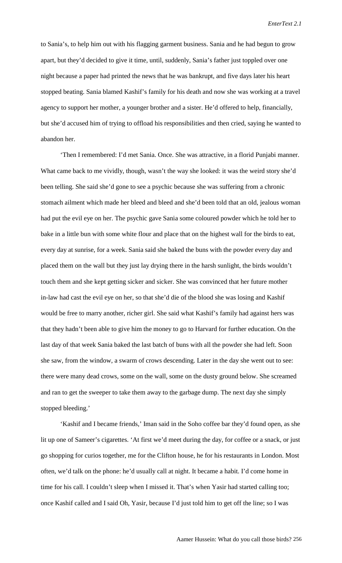to Sania's, to help him out with his flagging garment business. Sania and he had begun to grow apart, but they'd decided to give it time, until, suddenly, Sania's father just toppled over one night because a paper had printed the news that he was bankrupt, and five days later his heart stopped beating. Sania blamed Kashif's family for his death and now she was working at a travel agency to support her mother, a younger brother and a sister. He'd offered to help, financially, but she'd accused him of trying to offload his responsibilities and then cried, saying he wanted to abandon her.

'Then I remembered: I'd met Sania. Once. She was attractive, in a florid Punjabi manner. What came back to me vividly, though, wasn't the way she looked: it was the weird story she'd been telling. She said she'd gone to see a psychic because she was suffering from a chronic stomach ailment which made her bleed and bleed and she'd been told that an old, jealous woman had put the evil eye on her. The psychic gave Sania some coloured powder which he told her to bake in a little bun with some white flour and place that on the highest wall for the birds to eat, every day at sunrise, for a week. Sania said she baked the buns with the powder every day and placed them on the wall but they just lay drying there in the harsh sunlight, the birds wouldn't touch them and she kept getting sicker and sicker. She was convinced that her future mother in-law had cast the evil eye on her, so that she'd die of the blood she was losing and Kashif would be free to marry another, richer girl. She said what Kashif's family had against hers was that they hadn't been able to give him the money to go to Harvard for further education. On the last day of that week Sania baked the last batch of buns with all the powder she had left. Soon she saw, from the window, a swarm of crows descending. Later in the day she went out to see: there were many dead crows, some on the wall, some on the dusty ground below. She screamed and ran to get the sweeper to take them away to the garbage dump. The next day she simply stopped bleeding.'

'Kashif and I became friends,' Iman said in the Soho coffee bar they'd found open, as she lit up one of Sameer's cigarettes. 'At first we'd meet during the day, for coffee or a snack, or just go shopping for curios together, me for the Clifton house, he for his restaurants in London. Most often, we'd talk on the phone: he'd usually call at night. It became a habit. I'd come home in time for his call. I couldn't sleep when I missed it. That's when Yasir had started calling too; once Kashif called and I said Oh, Yasir, because I'd just told him to get off the line; so I was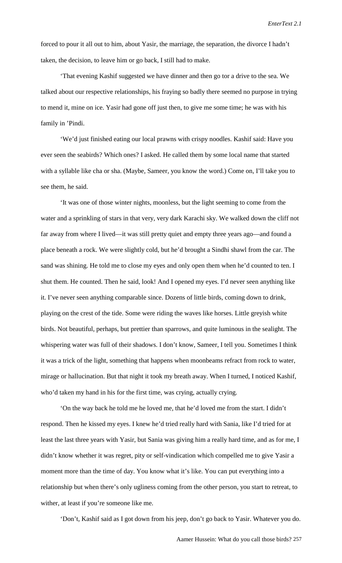forced to pour it all out to him, about Yasir, the marriage, the separation, the divorce I hadn't taken, the decision, to leave him or go back, I still had to make.

'That evening Kashif suggested we have dinner and then go tor a drive to the sea. We talked about our respective relationships, his fraying so badly there seemed no purpose in trying to mend it, mine on ice. Yasir had gone off just then, to give me some time; he was with his family in 'Pindi.

'We'd just finished eating our local prawns with crispy noodles. Kashif said: Have you ever seen the seabirds? Which ones? I asked. He called them by some local name that started with a syllable like cha or sha. (Maybe, Sameer, you know the word.) Come on, I'll take you to see them, he said.

'It was one of those winter nights, moonless, but the light seeming to come from the water and a sprinkling of stars in that very, very dark Karachi sky. We walked down the cliff not far away from where I lived—it was still pretty quiet and empty three years ago—and found a place beneath a rock. We were slightly cold, but he'd brought a Sindhi shawl from the car. The sand was shining. He told me to close my eyes and only open them when he'd counted to ten. I shut them. He counted. Then he said, look! And I opened my eyes. I'd never seen anything like it. I've never seen anything comparable since. Dozens of little birds, coming down to drink, playing on the crest of the tide. Some were riding the waves like horses. Little greyish white birds. Not beautiful, perhaps, but prettier than sparrows, and quite luminous in the sealight. The whispering water was full of their shadows. I don't know, Sameer, I tell you. Sometimes I think it was a trick of the light, something that happens when moonbeams refract from rock to water, mirage or hallucination. But that night it took my breath away. When I turned, I noticed Kashif, who'd taken my hand in his for the first time, was crying, actually crying.

'On the way back he told me he loved me, that he'd loved me from the start. I didn't respond. Then he kissed my eyes. I knew he'd tried really hard with Sania, like I'd tried for at least the last three years with Yasir, but Sania was giving him a really hard time, and as for me, I didn't know whether it was regret, pity or self-vindication which compelled me to give Yasir a moment more than the time of day. You know what it's like. You can put everything into a relationship but when there's only ugliness coming from the other person, you start to retreat, to wither, at least if you're someone like me.

'Don't, Kashif said as I got down from his jeep, don't go back to Yasir. Whatever you do.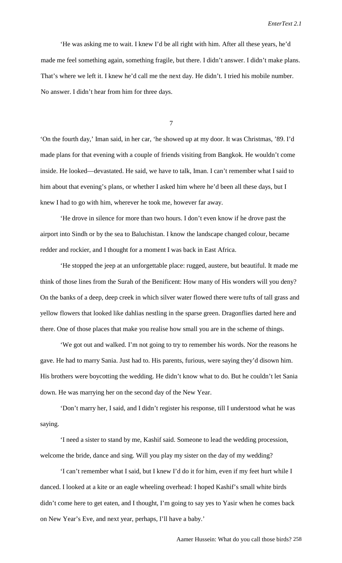'He was asking me to wait. I knew I'd be all right with him. After all these years, he'd made me feel something again, something fragile, but there. I didn't answer. I didn't make plans. That's where we left it. I knew he'd call me the next day. He didn't. I tried his mobile number. No answer. I didn't hear from him for three days.

7

'On the fourth day,' Iman said, in her car, 'he showed up at my door. It was Christmas, '89. I'd made plans for that evening with a couple of friends visiting from Bangkok. He wouldn't come inside. He looked—devastated. He said, we have to talk, Iman. I can't remember what I said to him about that evening's plans, or whether I asked him where he'd been all these days, but I knew I had to go with him, wherever he took me, however far away.

'He drove in silence for more than two hours. I don't even know if he drove past the airport into Sindh or by the sea to Baluchistan. I know the landscape changed colour, became redder and rockier, and I thought for a moment I was back in East Africa.

'He stopped the jeep at an unforgettable place: rugged, austere, but beautiful. It made me think of those lines from the Surah of the Benificent: How many of His wonders will you deny? On the banks of a deep, deep creek in which silver water flowed there were tufts of tall grass and yellow flowers that looked like dahlias nestling in the sparse green. Dragonflies darted here and there. One of those places that make you realise how small you are in the scheme of things.

'We got out and walked. I'm not going to try to remember his words. Nor the reasons he gave. He had to marry Sania. Just had to. His parents, furious, were saying they'd disown him. His brothers were boycotting the wedding. He didn't know what to do. But he couldn't let Sania down. He was marrying her on the second day of the New Year.

'Don't marry her, I said, and I didn't register his response, till I understood what he was saying.

'I need a sister to stand by me, Kashif said. Someone to lead the wedding procession, welcome the bride, dance and sing. Will you play my sister on the day of my wedding?

'I can't remember what I said, but I knew I'd do it for him, even if my feet hurt while I danced. I looked at a kite or an eagle wheeling overhead: I hoped Kashif's small white birds didn't come here to get eaten, and I thought, I'm going to say yes to Yasir when he comes back on New Year's Eve, and next year, perhaps, I'll have a baby.'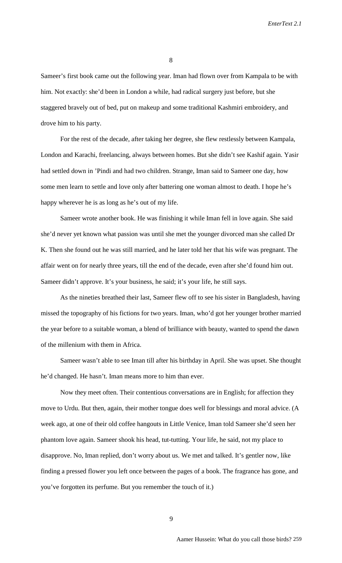8

Sameer's first book came out the following year. Iman had flown over from Kampala to be with him. Not exactly: she'd been in London a while, had radical surgery just before, but she staggered bravely out of bed, put on makeup and some traditional Kashmiri embroidery, and drove him to his party.

For the rest of the decade, after taking her degree, she flew restlessly between Kampala, London and Karachi, freelancing, always between homes. But she didn't see Kashif again. Yasir had settled down in 'Pindi and had two children. Strange, Iman said to Sameer one day, how some men learn to settle and love only after battering one woman almost to death. I hope he's happy wherever he is as long as he's out of my life.

Sameer wrote another book. He was finishing it while Iman fell in love again. She said she'd never yet known what passion was until she met the younger divorced man she called Dr K. Then she found out he was still married, and he later told her that his wife was pregnant. The affair went on for nearly three years, till the end of the decade, even after she'd found him out. Sameer didn't approve. It's your business, he said; it's your life, he still says.

As the nineties breathed their last, Sameer flew off to see his sister in Bangladesh, having missed the topography of his fictions for two years. Iman, who'd got her younger brother married the year before to a suitable woman, a blend of brilliance with beauty, wanted to spend the dawn of the millenium with them in Africa.

Sameer wasn't able to see Iman till after his birthday in April. She was upset. She thought he'd changed. He hasn't. Iman means more to him than ever.

Now they meet often. Their contentious conversations are in English; for affection they move to Urdu. But then, again, their mother tongue does well for blessings and moral advice. (A week ago, at one of their old coffee hangouts in Little Venice, Iman told Sameer she'd seen her phantom love again. Sameer shook his head, tut-tutting. Your life, he said, not my place to disapprove. No, Iman replied, don't worry about us. We met and talked. It's gentler now, like finding a pressed flower you left once between the pages of a book. The fragrance has gone, and you've forgotten its perfume. But you remember the touch of it.)

9